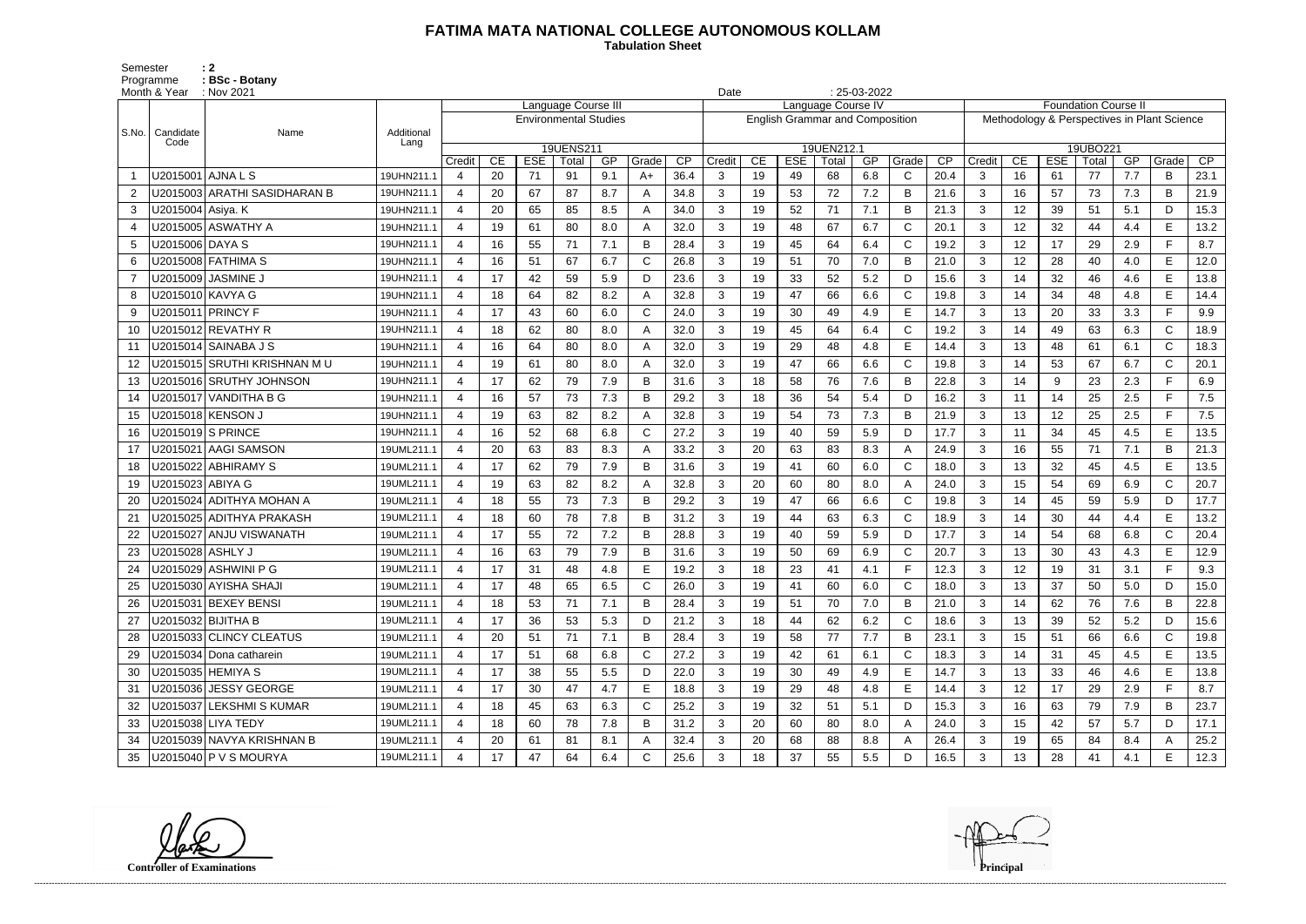## **FATIMA MATA NATIONAL COLLEGE AUTONOMOUS KOLLAM**

 **Tabulation Sheet** 

Semester : 2 Programme : **BSc - Botany** 

|       | Month & Year       | : Nov 2021<br>Language Course III |            |                       |    |                              |           |     |       |      |              |    |                                        | $: 25-03-2022$<br>Date<br>Language Course IV |     |              |      |                                             |                 |            |          |     |              |                 |
|-------|--------------------|-----------------------------------|------------|-----------------------|----|------------------------------|-----------|-----|-------|------|--------------|----|----------------------------------------|----------------------------------------------|-----|--------------|------|---------------------------------------------|-----------------|------------|----------|-----|--------------|-----------------|
|       |                    |                                   |            |                       |    |                              |           |     |       |      |              |    |                                        |                                              |     |              |      | <b>Foundation Course II</b>                 |                 |            |          |     |              |                 |
| S.No. | Candidate          | Name                              | Additional |                       |    | <b>Environmental Studies</b> |           |     |       |      |              |    | <b>English Grammar and Composition</b> |                                              |     |              |      | Methodology & Perspectives in Plant Science |                 |            |          |     |              |                 |
|       | Code               |                                   | Lang       |                       |    |                              | 19UENS211 |     |       |      |              |    |                                        | 19UEN212.1                                   |     |              |      |                                             |                 |            | 19UBO221 |     |              |                 |
|       |                    |                                   |            | Credit                | CE | <b>ESE</b>                   | Total     | GP  | Grade | CP   | Credit       | CE | <b>ESE</b>                             | Total                                        | GP  | Grade        | CP   | Credit                                      | CE              | <b>ESE</b> | Total    | GP  | Grade        | $\overline{CP}$ |
|       |                    | U2015001 AJNA L S                 | 19UHN211.1 |                       | 20 | 71                           | 91        | 9.1 | $A+$  | 36.4 | 3            | 19 | 49                                     | 68                                           | 6.8 | C            | 20.4 | 3                                           | 16              | 61         | 77       | 7.7 | B            | 23.1            |
| 2     |                    | U2015003 ARATHI SASIDHARAN B      | 19UHN211.1 | $\boldsymbol{4}$      | 20 | 67                           | 87        | 8.7 |       | 34.8 | 3            | 19 | 53                                     | 72                                           | 7.2 | B            | 21.6 | 3                                           | 16              | 57         | 73       | 7.3 | B            | 21.9            |
| 3     | U2015004 Asiya. K  |                                   | 19UHN211.1 | $\overline{4}$        | 20 | 65                           | 85        | 8.5 | А     | 34.0 | 3            | 19 | 52                                     | 71                                           | 7.1 | B            | 21.3 | 3                                           | 12 <sub>2</sub> | 39         | 51       | 5.1 | D            | 15.3            |
| 4     |                    | U2015005 ASWATHY A                | 19UHN211.1 | $\overline{4}$        | 19 | 61                           | 80        | 8.0 | Α     | 32.0 | 3            | 19 | 48                                     | 67                                           | 6.7 | $\mathsf{C}$ | 20.1 | 3                                           | 12              | 32         | 44       | 4.4 | E            | 13.2            |
| 5     | U2015006 DAYA S    |                                   | 19UHN211.1 | $\overline{4}$        | 16 | 55                           | 71        | 7.1 | B     | 28.4 | 3            | 19 | 45                                     | 64                                           | 6.4 | $\mathsf{C}$ | 19.2 | 3                                           | 12              | 17         | 29       | 2.9 | F            | 8.7             |
| 6     |                    | U2015008 FATHIMA S                | 19UHN211.1 |                       | 16 | 51                           | 67        | 6.7 | C     | 26.8 | 3            | 19 | 51                                     | 70                                           | 7.0 | B            | 21.0 | 3                                           | 12              | 28         | 40       | 4.0 | E            | 12.0            |
| 7     |                    | U2015009   JASMINE J              | 19UHN211.1 | $\boldsymbol{4}$      | 17 | 42                           | 59        | 5.9 | D     | 23.6 | 3            | 19 | 33                                     | 52                                           | 5.2 | D            | 15.6 | 3                                           | 14              | 32         | 46       | 4.6 | E            | 13.8            |
| 8     |                    | U2015010 KAVYA G                  | 19UHN211.1 | 4                     | 18 | 64                           | 82        | 8.2 |       | 32.8 | 3            | 19 | 47                                     | 66                                           | 6.6 | $\mathsf{C}$ | 19.8 | 3                                           | 14              | 34         | 48       | 4.8 | E            | 14.4            |
| 9     |                    | U2015011 PRINCY F                 | 19UHN211.1 |                       | 17 | 43                           | 60        | 6.0 | C     | 24.0 | 3            | 19 | 30                                     | 49                                           | 4.9 | E            | 14.7 | 3                                           | 13              | 20         | 33       | 3.3 | F.           | 9.9             |
| 10    |                    | U2015012 REVATHY R                | 19UHN211.1 | $\overline{4}$        | 18 | 62                           | 80        | 8.0 | А     | 32.0 | $\mathbf{3}$ | 19 | 45                                     | 64                                           | 6.4 | $\mathsf{C}$ | 19.2 | 3                                           | 14              | 49         | 63       | 6.3 | $\mathsf{C}$ | 18.9            |
| 11    |                    | U2015014   SAINABA J S            | 19UHN211.1 | 4                     | 16 | 64                           | 80        | 8.0 |       | 32.0 | 3            | 19 | 29                                     | 48                                           | 4.8 | E            | 14.4 | 3                                           | 13              | 48         | 61       | 6.1 | $\mathsf{C}$ | 18.3            |
| 12    |                    | U2015015 SRUTHI KRISHNAN M U      | 19UHN211.1 | $\boldsymbol{4}$      | 19 | 61                           | 80        | 8.0 |       | 32.0 | 3            | 19 | 47                                     | 66                                           | 6.6 | $\mathsf{C}$ | 19.8 | 3                                           | 14              | 53         | 67       | 6.7 | $\mathsf{C}$ | 20.1            |
| 13    |                    | U2015016 SRUTHY JOHNSON           | 19UHN211.1 | 4                     | 17 | 62                           | 79        | 7.9 | B     | 31.6 | 3            | 18 | 58                                     | 76                                           | 7.6 | B            | 22.8 | 3                                           | 14              | 9          | 23       | 2.3 | F.           | 6.9             |
| 14    |                    | U2015017   VANDITHA B G           | 19UHN211.1 |                       | 16 | 57                           | 73        | 7.3 | B     | 29.2 | 3            | 18 | 36                                     | 54                                           | 5.4 | D            | 16.2 | 3                                           | 11              | 14         | 25       | 2.5 | F.           | 7.5             |
| 15    |                    | U2015018 KENSON J                 | 19UHN211.1 | $\boldsymbol{4}$      | 19 | 63                           | 82        | 8.2 | А     | 32.8 | 3            | 19 | 54                                     | 73                                           | 7.3 | B            | 21.9 | 3                                           | 13              | 12         | 25       | 2.5 | F.           | 7.5             |
| 16    |                    | U2015019 S PRINCE                 | 19UHN211.1 | 4                     | 16 | 52                           | 68        | 6.8 | C     | 27.2 | 3            | 19 | 40                                     | 59                                           | 5.9 | D            | 17.7 | 3                                           | 11              | 34         | 45       | 4.5 | E            | 13.5            |
| 17    |                    | U2015021 AAGI SAMSON              | 19UML211.1 | 4                     | 20 | 63                           | 83        | 8.3 |       | 33.2 | 3            | 20 | 63                                     | 83                                           | 8.3 | A            | 24.9 | 3                                           | 16              | 55         | 71       | 7.1 | B            | 21.3            |
| 18    |                    | U2015022 ABHIRAMY S               | 19UML211.1 | $\boldsymbol{4}$      | 17 | 62                           | 79        | 7.9 | B     | 31.6 | 3            | 19 | 41                                     | 60                                           | 6.0 | $\mathsf{C}$ | 18.0 | 3                                           | 13              | 32         | 45       | 4.5 | E            | 13.5            |
| 19    | U2015023 ABIYA G   |                                   | 19UML211.1 |                       | 19 | 63                           | 82        | 8.2 |       | 32.8 | 3            | 20 | 60                                     | 80                                           | 8.0 | A            | 24.0 | 3                                           | 15              | 54         | 69       | 6.9 | $\mathsf C$  | 20.7            |
| 20    |                    | U2015024   ADITHYA MOHAN A        | 19UML211.1 | 4                     | 18 | 55                           | 73        | 7.3 | B     | 29.2 | 3            | 19 | 47                                     | 66                                           | 6.6 | $\mathsf{C}$ | 19.8 | 3                                           | 14              | 45         | 59       | 5.9 | D            | 17.7            |
| 21    |                    | U2015025 ADITHYA PRAKASH          | 19UML211.1 | $\boldsymbol{4}$      | 18 | 60                           | 78        | 7.8 | B     | 31.2 | 3            | 19 | 44                                     | 63                                           | 6.3 | $\mathsf{C}$ | 18.9 | 3                                           | 14              | 30         | 44       | 4.4 | E            | 13.2            |
| 22    |                    | U2015027 ANJU VISWANATH           | 19UML211.1 | 4                     | 17 | 55                           | 72        | 7.2 |       | 28.8 | 3            | 19 | 40                                     | 59                                           | 5.9 | D            | 17.7 | 3                                           | 14              | 54         | 68       | 6.8 | $\mathsf{C}$ | 20.4            |
| 23    | U2015028   ASHLY J |                                   | 19UML211.1 | $\boldsymbol{4}$      | 16 | 63                           | 79        | 7.9 | B     | 31.6 | 3            | 19 | 50                                     | 69                                           | 6.9 | C            | 20.7 | 3                                           | 13              | 30         | 43       | 4.3 | E            | 12.9            |
| 24    |                    | U2015029   ASHWINI P G            | 19UML211.1 | $\boldsymbol{\Delta}$ | 17 | 31                           | 48        | 4.8 |       | 19.2 | 3            | 18 | 23                                     | 41                                           | 4.1 | F            | 12.3 | 3                                           | 12              | 19         | 31       | 3.1 | F.           | 9.3             |
|       |                    | U2015030 AYISHA SHAJI             | 19UML211.1 | 4                     | 17 | 48                           | 65        | 6.5 | C     | 26.0 | 3            | 19 | 41                                     | 60                                           | 6.0 | C            | 18.0 | 3                                           | 13              | 37         | 50       | 5.0 | D            | 15.0            |
|       |                    | U2015031 BEXEY BENSI              | 19UML211.1 | 4                     | 18 | 53                           | 71        | 7.1 | B     | 28.4 | 3            | 19 | 51                                     | 70                                           | 7.0 | B            | 21.0 | $\mathbf{3}$                                | 14              | 62         | 76       | 7.6 | B            | 22.8            |
| 27    |                    | U2015032 BIJITHA B                | 19UML211.1 | $\overline{4}$        | 17 | 36                           | 53        | 5.3 | D     | 21.2 | 3            | 18 | 44                                     | 62                                           | 6.2 | $\mathsf{C}$ | 18.6 | 3                                           | 13              | 39         | 52       | 5.2 | D            | 15.6            |
| 28    |                    | U2015033 CLINCY CLEATUS           | 19UML211.1 | 4                     | 20 | 51                           | 71        | 7.1 | B     | 28.4 | $\mathbf{3}$ | 19 | 58                                     | 77                                           | 7.7 | B            | 23.1 | 3                                           | 15              | 51         | 66       | 6.6 | C            | 19.8            |
| 29    |                    | U2015034 Dona catharein           | 19UML211.1 | 4                     | 17 | 51                           | 68        | 6.8 | C     | 27.2 | 3            | 19 | 42                                     | 61                                           | 6.1 | $\mathsf{C}$ | 18.3 | $\mathbf{3}$                                | 14              | 31         | 45       | 4.5 | E            | 13.5            |
| 30    |                    | U2015035 HEMIYA S                 | 19UML211.1 | 4                     | 17 | 38                           | 55        | 5.5 | D     | 22.0 | 3            | 19 | 30                                     | 49                                           | 4.9 | E            | 14.7 | 3                                           | 13              | 33         | 46       | 4.6 | E            | 13.8            |
| 31    |                    | U2015036 JESSY GEORGE             | 19UML211.1 | 4                     | 17 | 30                           | 47        | 4.7 | E     | 18.8 | 3            | 19 | 29                                     | 48                                           | 4.8 | E            | 14.4 | 3                                           | 12 <sub>2</sub> | 17         | 29       | 2.9 | F.           | 8.7             |
| 32    |                    | U2015037 LEKSHMI S KUMAR          | 19UML211.1 | 4                     | 18 | 45                           | 63        | 6.3 | C     | 25.2 | 3            | 19 | 32                                     | 51                                           | 5.1 | D            | 15.3 | $\mathbf{3}$                                | 16              | 63         | 79       | 7.9 | B            | 23.7            |
| 33    |                    | U2015038 LIYA TEDY                | 19UML211.1 | 4                     | 18 | 60                           | 78        | 7.8 | B     | 31.2 | 3            | 20 | 60                                     | 80                                           | 8.0 | A            | 24.0 | 3                                           | 15              | 42         | 57       | 5.7 | D            | 17.1            |
| 34    |                    | U2015039 NAVYA KRISHNAN B         | 19UML211.1 | 4                     | 20 | 61                           | 81        | 8.1 |       | 32.4 | 3            | 20 | 68                                     | 88                                           | 8.8 | A            | 26.4 | 3                                           | 19              | 65         | 84       | 8.4 | A            | 25.2            |
| 35    |                    | U2015040 P V S MOURYA             | 19UML211.1 | 4                     | 17 | 47                           | 64        | 6.4 | C     | 25.6 | $\mathbf{3}$ | 18 | 37                                     | 55                                           | 5.5 | D            | 16.5 | 3                                           | 13              | 28         | 41       | 4.1 | E            | 12.3            |

**Controller of Examinations Principal**

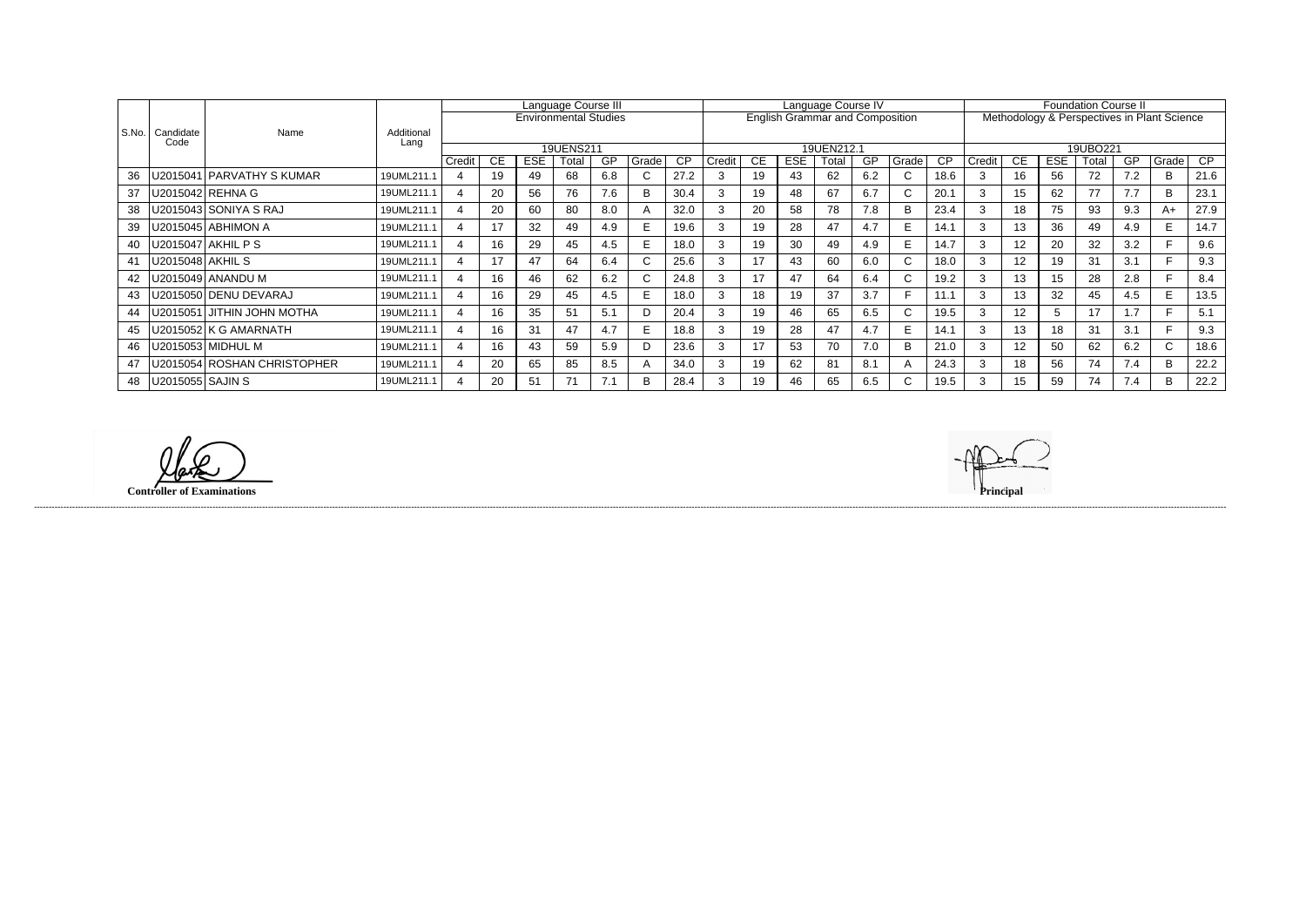|       |                    |                             |                    | Language Course III     |    |                              |           |     |              |                 | Language Course IV |           |                                        |       |     |                |           | <b>Foundation Course II</b>                 |                 |            |          |     |             |                 |  |
|-------|--------------------|-----------------------------|--------------------|-------------------------|----|------------------------------|-----------|-----|--------------|-----------------|--------------------|-----------|----------------------------------------|-------|-----|----------------|-----------|---------------------------------------------|-----------------|------------|----------|-----|-------------|-----------------|--|
|       |                    |                             |                    |                         |    | <b>Environmental Studies</b> |           |     |              |                 |                    |           | <b>English Grammar and Composition</b> |       |     |                |           | Methodology & Perspectives in Plant Science |                 |            |          |     |             |                 |  |
| S.No. | Candidate<br>Code  | Name                        | Additional<br>Lang |                         |    |                              |           |     |              |                 |                    |           |                                        |       |     |                |           |                                             |                 |            |          |     |             |                 |  |
|       |                    |                             |                    |                         |    |                              | 19UENS211 |     |              |                 | 19UEN212.1         |           |                                        |       |     |                |           |                                             |                 |            | 19UBO221 |     |             |                 |  |
|       |                    |                             |                    | Credit                  | CE | <b>ESE</b>                   | Total     | GP. | Grade        | $\overline{CP}$ | Credit             | <b>CE</b> | <b>ESE</b>                             | Total | GP  | Grade          | <b>CP</b> | Credit                                      | <b>CE</b>       | <b>ESE</b> | Total    | GP  | Grade       | $\overline{CP}$ |  |
| 36    |                    | J2015041   PARVATHY S KUMAR | 19UML211.1         |                         | 19 | 49                           | 68        | 6.8 |              | 27.2            |                    | 19        | 43                                     | 62    | 6.2 | $\mathbf{C}$   | 18.6      | 3                                           | 16              | 56         | 72       | 7.2 | B           | 21.6            |  |
| 37    |                    | U2015042 REHNA G            | 19UML211.1         | $\boldsymbol{\Delta}$   | 20 | 56                           | 76        | 7.6 | <sub>B</sub> | 30.4            | 3                  | 19        | 48                                     | 67    | 6.7 | $\sim$<br>U.   | 20.1      | 3                                           | 15              | 62         | 77       | 7.7 | B           | 23.1            |  |
| 38    |                    | U2015043 SONIYA S RAJ       | 19UML211.1         |                         | 20 | 60                           | 80        | 8.0 | $\mathsf{A}$ | 32.0            |                    | 20        | 58                                     | 78    | 7.8 | B              | 23.4      | 3                                           | 18              | 75         | 93       | 9.3 | A+          | 27.9            |  |
| 39    |                    | U2015045 ABHIMON A          | 19UML211.1         | 4                       | 17 | 32                           | 49        | 4.9 |              | 19.6            | 3                  | 19        | 28                                     | 47    | 4.7 | E              | 14.1      | 3                                           | 13              | 36         | 49       | 4.9 | E.          | 14.7            |  |
| 40    |                    | U2015047 AKHIL P S          | 19UML211.1         |                         | 16 | 29                           | 45        | 4.5 |              | 18.0            |                    | 19        | 30                                     | 49    | 4.9 | E.             | 14.7      | 3                                           | 12              | 20         | 32       | 3.2 |             | 9.6             |  |
| 41    | U2015048 AKHIL S   |                             | 19UML211.1         |                         | 17 | 47                           | 64        | 6.4 | ⌒<br>◡       | 25.6            |                    | 17        | 43                                     | 60    | 6.0 | $\sim$<br>◡    | 18.0      | 3                                           | 12              | 19         | 31       | 3.1 |             | 9.3             |  |
| 42    |                    | J2015049 ANANDU M           | 19UML211.1         | $\overline{\mathbf{4}}$ | 16 | 46                           | 62        | 6.2 |              | 24.8            |                    | 17        | 47                                     | 64    | 6.4 | C.             | 19.2      |                                             | 13              | 15         | 28       | 2.8 |             | 8.4             |  |
| 43    |                    | U2015050   DENU DEVARAJ     | 19UML211.1         |                         | 16 | 29                           | 45        | 4.5 |              | 18.0            | 3                  | 18        | 19                                     | 37    | 3.7 |                | 11.1      | 3                                           | 13              | 32         | 45       | 4.5 | E.          | 13.5            |  |
| 44    |                    | U2015051 JITHIN JOHN MOTHA  | 19UML211.1         | $\overline{4}$          | 16 | 35                           | 51        | 5.1 | D            | 20.4            | 3                  | 19        | 46                                     | 65    | 6.5 | $\sim$<br>◡    | 19.5      | 3                                           | 12 <sup>2</sup> | .<br>C     | 17       | 1.7 |             | 5.1             |  |
| 45    |                    | U2015052 K G AMARNATH       | 19UML211.1         |                         | 16 | 31                           | 47        | 4.7 |              | 18.8            |                    | 19        | 28                                     | 47    | 4.7 | E              | 14.1      | 3                                           | 13              | 18         | 31       | 3.1 |             | 9.3             |  |
| 46    |                    | U2015053   MIDHUL M         | 19UML211.1         |                         | 16 | 43                           | 59        | 5.9 | D            | 23.6            | 3                  | 17        | 53                                     | 70    | 7.0 | B              | 21.0      | 3                                           | 12              | 50         | 62       | 6.2 | $\sim$<br>Ü | 18.6            |  |
| 47    |                    | U2015054 ROSHAN CHRISTOPHER | 19UML211.1         |                         | 20 | 65                           | 85        | 8.5 |              | 34.0            |                    | 19        | 62                                     | 81    | 8.1 | $\overline{A}$ | 24.3      | 3                                           | 18              | 56         | 74       | 7.4 | В           | 22.2            |  |
| 48    | U2015055   SAJIN S |                             | 19UML211.1         | $\boldsymbol{\Delta}$   | 20 | 51                           | 71        | 7.1 | B            | 28.4            |                    | 19        | 46                                     | 65    | 6.5 | C.             | 19.5      | 3                                           | 15              | 59         | 74       | 7.4 | B.          | 22.2            |  |

 $\mathscr{L}$ 

**Controller of Examinations Principal**



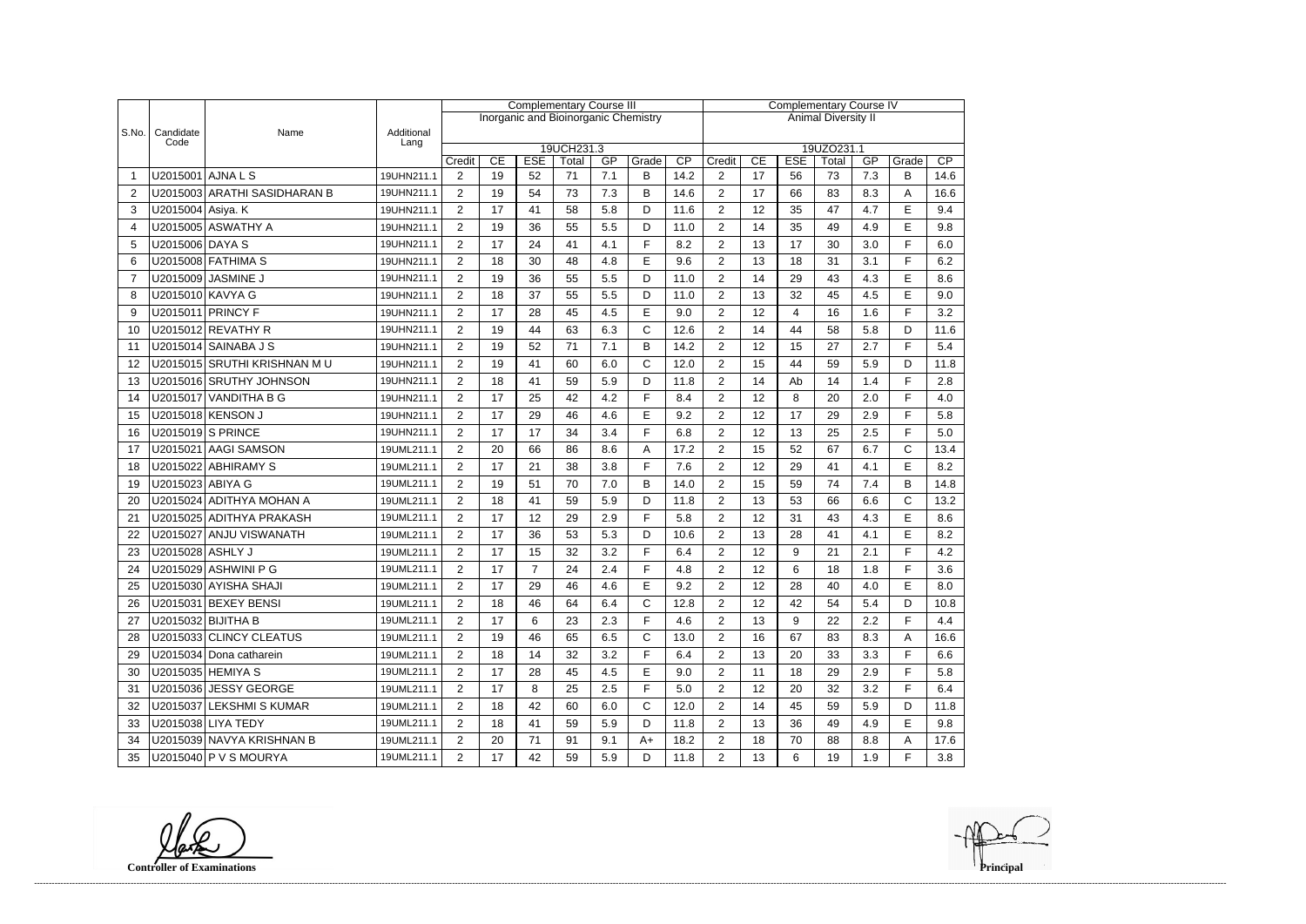|                |                   |                                                      |                          | <b>Complementary Course III</b>  |          |                  |                                      |            |              |              |                                  | <b>Complementary Course IV</b> |                  |             |            |            |             |  |
|----------------|-------------------|------------------------------------------------------|--------------------------|----------------------------------|----------|------------------|--------------------------------------|------------|--------------|--------------|----------------------------------|--------------------------------|------------------|-------------|------------|------------|-------------|--|
|                |                   |                                                      |                          |                                  |          |                  | Inorganic and Bioinorganic Chemistry |            |              |              | <b>Animal Diversity II</b>       |                                |                  |             |            |            |             |  |
| S.No.          | Candidate<br>Code | Name                                                 | Additional<br>Lang       |                                  |          |                  |                                      |            |              |              |                                  |                                |                  |             |            |            |             |  |
|                |                   |                                                      |                          |                                  | CE       |                  | 19UCH231.3                           |            |              | CP           |                                  |                                |                  | 19UZO231.1  |            |            | CP          |  |
|                | U2015001 AJNA L S |                                                      | 19UHN211.1               | Credit<br>$\overline{2}$         | 19       | <b>ESE</b><br>52 | Total<br>71                          | GP<br>7.1  | Grade<br>B   | 14.2         | Credit<br>$\overline{2}$         | CE<br>17                       | <b>ESE</b><br>56 | Total<br>73 | GP<br>7.3  | Grade<br>B | 14.6        |  |
| $\overline{2}$ |                   | U2015003 ARATHI SASIDHARAN B                         | 19UHN211.1               | 2                                | 19       | 54               | 73                                   | 7.3        | B            | 14.6         | $\overline{2}$                   | 17                             | 66               | 83          | 8.3        | A          | 16.6        |  |
| 3              | U2015004 Asiya. K |                                                      | 19UHN211.1               | $\overline{2}$                   | 17       | 41               | 58                                   | 5.8        | D            | 11.6         | $\overline{2}$                   | 12                             | 35               | 47          | 4.7        | E          | 9.4         |  |
| $\overline{4}$ |                   | U2015005 ASWATHY A                                   | 19UHN211.1               | $\overline{2}$                   | 19       | 36               | 55                                   | 5.5        | D            | 11.0         | $\overline{2}$                   | 14                             | 35               | 49          | 4.9        | E          | 9.8         |  |
| 5              | U2015006 DAYA S   |                                                      | 19UHN211.1               | $\overline{2}$                   | 17       | 24               | 41                                   | 4.1        | F            | 8.2          | $\overline{2}$                   | 13                             | 17               | 30          | 3.0        | F          | 6.0         |  |
|                |                   | U2015008 FATHIMA S                                   | 19UHN211.1               | $\overline{2}$                   | 18       | 30               | 48                                   | 4.8        | E            | 9.6          | $\overline{2}$                   | 13                             | 18               | 31          | 3.1        | F          | 6.2         |  |
| 6              |                   |                                                      |                          |                                  |          |                  |                                      |            |              |              |                                  |                                |                  |             |            |            |             |  |
| $\overline{7}$ |                   | U2015009 JASMINE J                                   | 19UHN211.1               | $\overline{2}$                   | 19       | 36               | 55                                   | 5.5        | D            | 11.0         | $\overline{2}$                   | 14                             | 29               | 43          | 4.3        | E          | 8.6         |  |
| 8              | U2015010 KAVYA G  |                                                      | 19UHN211.1               | $\overline{2}$                   | 18       | 37               | 55                                   | 5.5        | D            | 11.0         | $\overline{2}$                   | 13                             | 32               | 45          | 4.5        | E          | 9.0         |  |
| 9              |                   | U2015011 PRINCY F                                    | 19UHN211.1               | $\overline{2}$                   | 17       | 28               | 45                                   | 4.5        | $\mathsf E$  | 9.0          | $\overline{2}$                   | 12                             | 4                | 16          | 1.6        | F          | 3.2         |  |
| 10             |                   | U2015012 REVATHY R                                   | 19UHN211.1               | $\overline{c}$                   | 19       | 44               | 63                                   | 6.3        | $\mathsf{C}$ | 12.6         | $\overline{2}$                   | 14                             | 44               | 58          | 5.8        | D          | 11.6        |  |
| 11             |                   | U2015014 SAINABA J S                                 | 19UHN211.1               | $\overline{2}$                   | 19       | 52               | 71                                   | 7.1        | B            | 14.2         | $\overline{2}$                   | 12                             | 15               | 27          | 2.7        | F          | 5.4         |  |
| 12             |                   | U2015015 SRUTHI KRISHNAN MU                          | 19UHN211.1               | 2                                | 19       | 41               | 60                                   | 6.0        | $\mathsf{C}$ | 12.0         | $\overline{2}$                   | 15                             | 44               | 59          | 5.9        | D          | 11.8        |  |
| 13             |                   | U2015016 SRUTHY JOHNSON                              | 19UHN211.1               | $\overline{2}$                   | 18       | 41               | 59                                   | 5.9        | D            | 11.8         | $\overline{2}$                   | 14                             | Ab               | 14          | 1.4        | F          | 2.8         |  |
| 14             |                   | U2015017 VANDITHA B G                                | 19UHN211.1               | $\overline{2}$                   | 17       | 25               | 42                                   | 4.2        | E            | 8.4          | $\overline{2}$                   | 12                             | 8                | 20          | 2.0        | E          | 4.0         |  |
| 15             |                   | U2015018 KENSON J                                    | 19UHN211.1               | $\overline{2}$                   | 17       | 29               | 46                                   | 4.6        | E            | 9.2          | $\overline{2}$                   | 12                             | 17               | 29          | 2.9        | F          | 5.8         |  |
| 16             |                   | U2015019 S PRINCE                                    | 19UHN211.1               | $\overline{2}$                   | 17       | 17               | 34                                   | 3.4        | F            | 6.8          | $\overline{2}$                   | 12                             | 13               | 25          | 2.5        | F          | 5.0         |  |
| 17             |                   | U2015021 AAGI SAMSON                                 | 19UML211.1               | $\overline{2}$                   | 20       | 66               | 86                                   | 8.6        | A            | 17.2         | $\overline{2}$                   | 15                             | 52               | 67          | 6.7        | C          | 13.4        |  |
| 18             |                   | U2015022 ABHIRAMY S                                  | 19UML211.1               | $\overline{2}$                   | 17       | 21               | 38                                   | 3.8        | E            | 7.6          | $\overline{2}$                   | 12                             | 29               | 41          | 4.1        | E          | 8.2         |  |
| 19             | U2015023 ABIYA G  |                                                      | 19UML211.1               | $\overline{2}$                   | 19       | 51               | 70                                   | 7.0        | B            | 14.0         | $\overline{2}$                   | 15                             | 59               | 74          | 7.4        | B          | 14.8        |  |
| 20             |                   | U2015024 ADITHYA MOHAN A                             | 19UML211.1               | $\overline{2}$                   | 18       | 41               | 59                                   | 5.9        | D            | 11.8         | $\overline{2}$                   | 13                             | 53               | 66          | 6.6        | C          | 13.2        |  |
| 21             |                   | U2015025 ADITHYA PRAKASH                             | 19UML211.1               | $\overline{2}$                   | 17       | 12               | 29                                   | 2.9        | F            | 5.8          | $\overline{2}$                   | 12                             | 31               | 43          | 4.3        | E          | 8.6         |  |
| 22             |                   | U2015027 ANJU VISWANATH                              | 19UML211.1               | $\overline{2}$                   | 17       | 36               | 53                                   | 5.3        | D            | 10.6         | $\overline{2}$                   | 13                             | 28               | 41          | 4.1        | E          | 8.2         |  |
| 23             | U2015028 ASHLY J  |                                                      | 19UML211.1               | $\overline{2}$                   | 17       | 15               | 32                                   | 3.2        | E            | 6.4          | $\overline{2}$                   | 12                             | 9                | 21          | 2.1        | E          | 4.2         |  |
| 24             |                   | U2015029 ASHWINI P G                                 | 19UML211.1               | $\overline{2}$                   | 17       | $\overline{7}$   | 24                                   | 2.4        | E            | 4.8          | $\overline{2}$                   | 12                             | 6                | 18          | 1.8        | E          | 3.6         |  |
| 25             |                   | U2015030 AYISHA SHAJI                                | 19UML211.1               | $\overline{c}$                   | 17       | 29               | 46                                   | 4.6        | E            | 9.2          | $\mathcal{P}$                    | 12                             | 28               | 40          | 4 N        | F          | 8.0         |  |
| 26             |                   | U2015031 BEXEY BENSI                                 | 19UML211.1               | $\overline{2}$                   | 18       | 46               | 64                                   | 6.4        | $\mathsf{C}$ | 12.8         | $\overline{2}$                   | 12                             | 42               | 54          | 5.4        | D          | 10.8        |  |
| 27             |                   | U2015032 BIJITHA B                                   | 19UML211.1               | $\overline{2}$                   | 17       | 6                | 23                                   | 2.3        | F            | 4.6          | $\overline{2}$                   | 13                             | 9                | 22          | 2.2        | F          | 4.4         |  |
| 28             |                   | U2015033 CLINCY CLEATUS                              | 19UML211.1               | $\overline{2}$                   | 19       | 46               | 65                                   | 6.5        | $\mathsf{C}$ | 13.0         | $\overline{2}$                   | 16                             | 67               | 83          | 8.3        | A          | 16.6        |  |
| 29             |                   | U2015034 Dona catharein                              | 19UML211.1               | $\overline{2}$                   | 18       | 14               | 32                                   | 3.2        | F            | 6.4          | $\overline{2}$                   | 13                             | 20               | 33          | 3.3        | F          | 6.6         |  |
| 30             |                   | U2015035 HEMIYA S                                    | 19UML211.1               | $\overline{2}$                   | 17       | 28               | 45                                   | 4.5        | E            | 9.0          | $\overline{2}$                   | 11                             | 18               | 29          | 2.9        | F          | 5.8         |  |
| 31             |                   | U2015036 JESSY GEORGE                                | 19UML211.1               | $\overline{2}$                   | 17       | 8                | 25                                   | 2.5        | F            | 5.0          | $\overline{2}$                   | 12                             | 20               | 32          | 3.2        | F          | 6.4         |  |
| 32             |                   | U2015037 LEKSHMI S KUMAR                             | 19UML211.1               | $\overline{2}$                   | 18       | 42               | 60                                   | 6.0        | $\mathsf{C}$ | 12.0         | $\overline{2}$                   | 14                             | 45               | 59          | 5.9        | D          | 11.8        |  |
| 33             |                   | U2015038 LIYA TEDY                                   | 19UML211.1               | $\overline{2}$                   | 18       | 41               | 59                                   | 5.9        | D            | 11.8         | $\overline{c}$                   | 13                             | 36               | 49          | 4.9        | E          | 9.8         |  |
|                |                   |                                                      |                          |                                  |          |                  |                                      |            |              |              |                                  |                                |                  |             |            |            |             |  |
|                |                   |                                                      |                          |                                  |          |                  |                                      |            |              |              |                                  |                                |                  |             |            |            |             |  |
| 34<br>35       |                   | U2015039 NAVYA KRISHNAN B<br>U2015040   P V S MOURYA | 19UML211.1<br>19UML211.1 | $\overline{2}$<br>$\overline{2}$ | 20<br>17 | 71<br>42         | 91<br>59                             | 9.1<br>5.9 | $A+$<br>D    | 18.2<br>11.8 | $\overline{c}$<br>$\overline{a}$ | 18<br>13                       | 70<br>6          | 88<br>19    | 8.8<br>1.9 | Α<br>F     | 17.6<br>3.8 |  |

**Controller of Examinations**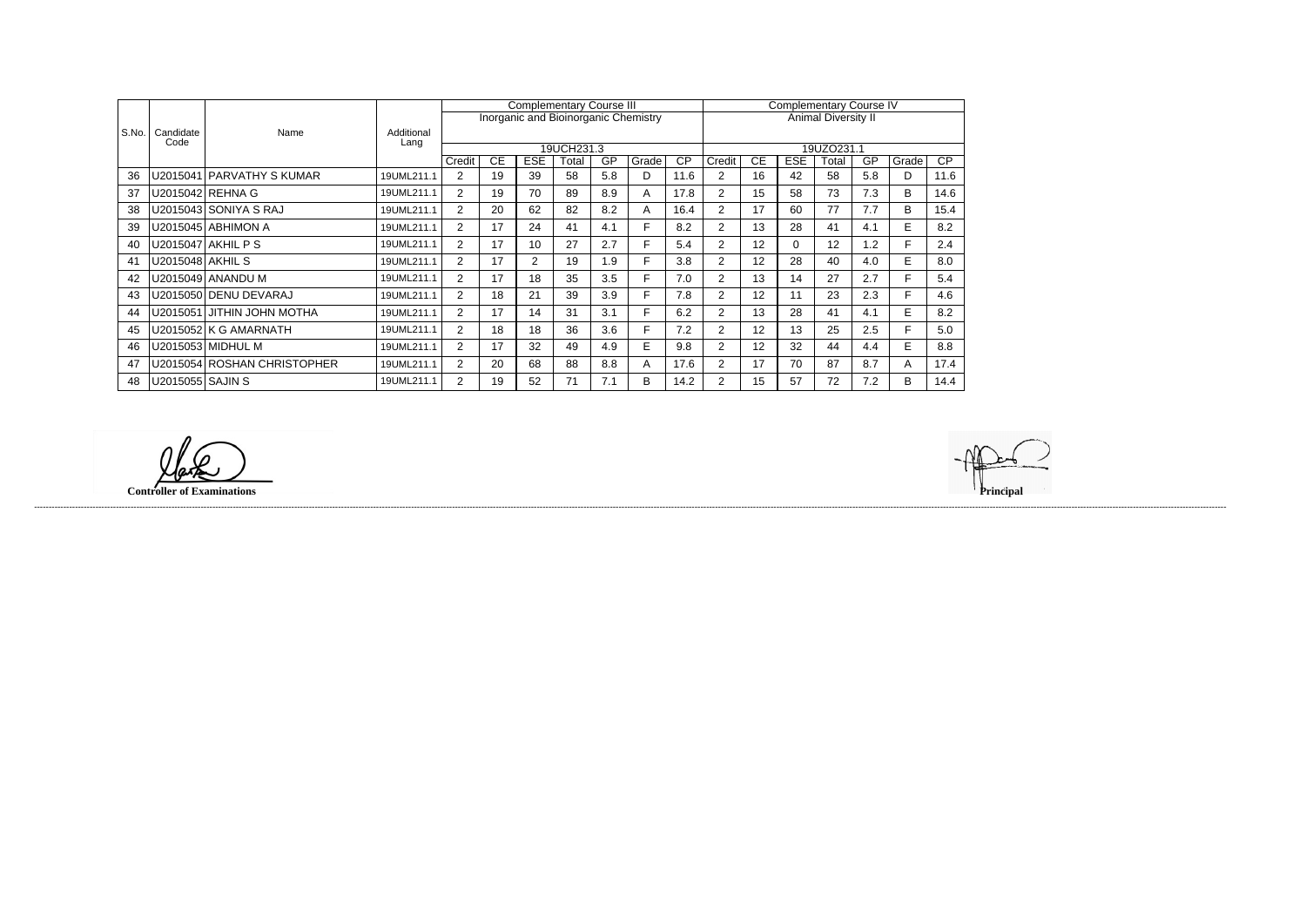|       |                    |                             |                    |                |    | <b>Complementary Course III</b> |            |     |                                      | <b>Complementary Course IV</b> |                |           |            |                            |     |       |                 |
|-------|--------------------|-----------------------------|--------------------|----------------|----|---------------------------------|------------|-----|--------------------------------------|--------------------------------|----------------|-----------|------------|----------------------------|-----|-------|-----------------|
|       |                    |                             |                    |                |    |                                 |            |     | Inorganic and Bioinorganic Chemistry |                                |                |           |            | <b>Animal Diversity II</b> |     |       |                 |
| S.No. | Candidate<br>Code  | Name                        | Additional<br>Lang |                |    |                                 |            |     |                                      |                                |                |           |            |                            |     |       |                 |
|       |                    |                             |                    |                |    |                                 | 19UCH231.3 |     |                                      |                                |                |           |            | 19UZO231.1                 |     |       |                 |
|       |                    |                             |                    | Credit         | CE | <b>ESE</b>                      | Total      | GP  | Grade                                | $\overline{CP}$                | Credit         | <b>CE</b> | <b>ESE</b> | Total                      | GP  | Grade | $\overline{CP}$ |
| 36    |                    | U2015041 PARVATHY S KUMAR   | 19UML211.1         | $\overline{2}$ | 19 | 39                              | 58         | 5.8 | D.                                   | 11.6                           | $\overline{2}$ | 16        | 42         | 58                         | 5.8 | D     | 11.6            |
| 37    |                    | U2015042   REHNA G          | 19UML211.1         | 2              | 19 | 70                              | 89         | 8.9 | A                                    | 17.8                           | $\overline{2}$ | 15        | 58         | 73                         | 7.3 | B     | 14.6            |
| 38    |                    | U2015043 SONIYA S RAJ       | 19UML211.1         | 2              | 20 | 62                              | 82         | 8.2 | A                                    | 16.4                           | 2              | 17        | 60         | 77                         | 7.7 | B     | 15.4            |
| 39    |                    | U2015045 ABHIMON A          | 19UML211.1         | $\overline{2}$ | 17 | 24                              | 41         | 4.1 | F.                                   | 8.2                            | $\overline{2}$ | 13        | 28         | 41                         | 4.1 | E     | 8.2             |
| 40    |                    | U2015047 AKHIL P S          | 19UML211.1         | $\overline{2}$ | 17 | 10                              | 27         | 2.7 |                                      | 5.4                            | $\overline{2}$ | 12        | 0          | 12                         | 1.2 | F.    | 2.4             |
| 41    | U2015048   AKHIL S |                             | 19UML211.1         | 2              | 17 | $\overline{2}$                  | 19         | 1.9 |                                      | 3.8                            | $\overline{2}$ | 12        | 28         | 40                         | 4.0 | E     | 8.0             |
| 42    |                    | U2015049 ANANDU M           | 19UML211.1         | $\overline{2}$ | 17 | 18                              | 35         | 3.5 | F.                                   | 7.0                            | $\overline{2}$ | 13        | 14         | 27                         | 2.7 | F.    | 5.4             |
| 43    |                    | U2015050 DEENU DEVARAJ      | 19UML211.1         | 2              | 18 | 21                              | 39         | 3.9 | Е                                    | 7.8                            | $\overline{2}$ | 12        | 11         | 23                         | 2.3 | F.    | 4.6             |
| 44    |                    | U2015051 JITHIN JOHN MOTHA  | 19UML211.1         | 2              | 17 | 14                              | 31         | 3.1 |                                      | 6.2                            | $\overline{2}$ | 13        | 28         | 41                         | 4.1 | E     | 8.2             |
| 45    |                    | U2015052 K G AMARNATH       | 19UML211.1         | $\overline{2}$ | 18 | 18                              | 36         | 3.6 | F.                                   | 7.2                            | $\overline{2}$ | 12        | 13         | 25                         | 2.5 | F.    | 5.0             |
| 46    |                    | U2015053 MIDHUL M           | 19UML211.1         | $\overline{2}$ | 17 | 32                              | 49         | 4.9 | E.                                   | 9.8                            | $\overline{2}$ | 12        | 32         | 44                         | 4.4 | E     | 8.8             |
| 47    |                    | U2015054 ROSHAN CHRISTOPHER | 19UML211.1         | $\overline{2}$ | 20 | 68                              | 88         | 8.8 | A                                    | 17.6                           | $\overline{2}$ | 17        | 70         | 87                         | 8.7 | A     | 17.4            |
| 48    | U2015055   SAJIN S |                             | 19UML211.1         | 2              | 19 | 52                              | 71         | 7.1 | B.                                   | 14.2                           | $\overline{2}$ | 15        | 57         | 72                         | 7.2 | B     | 14.4            |

 $\varphi$ 

**Controller of Examinations** 

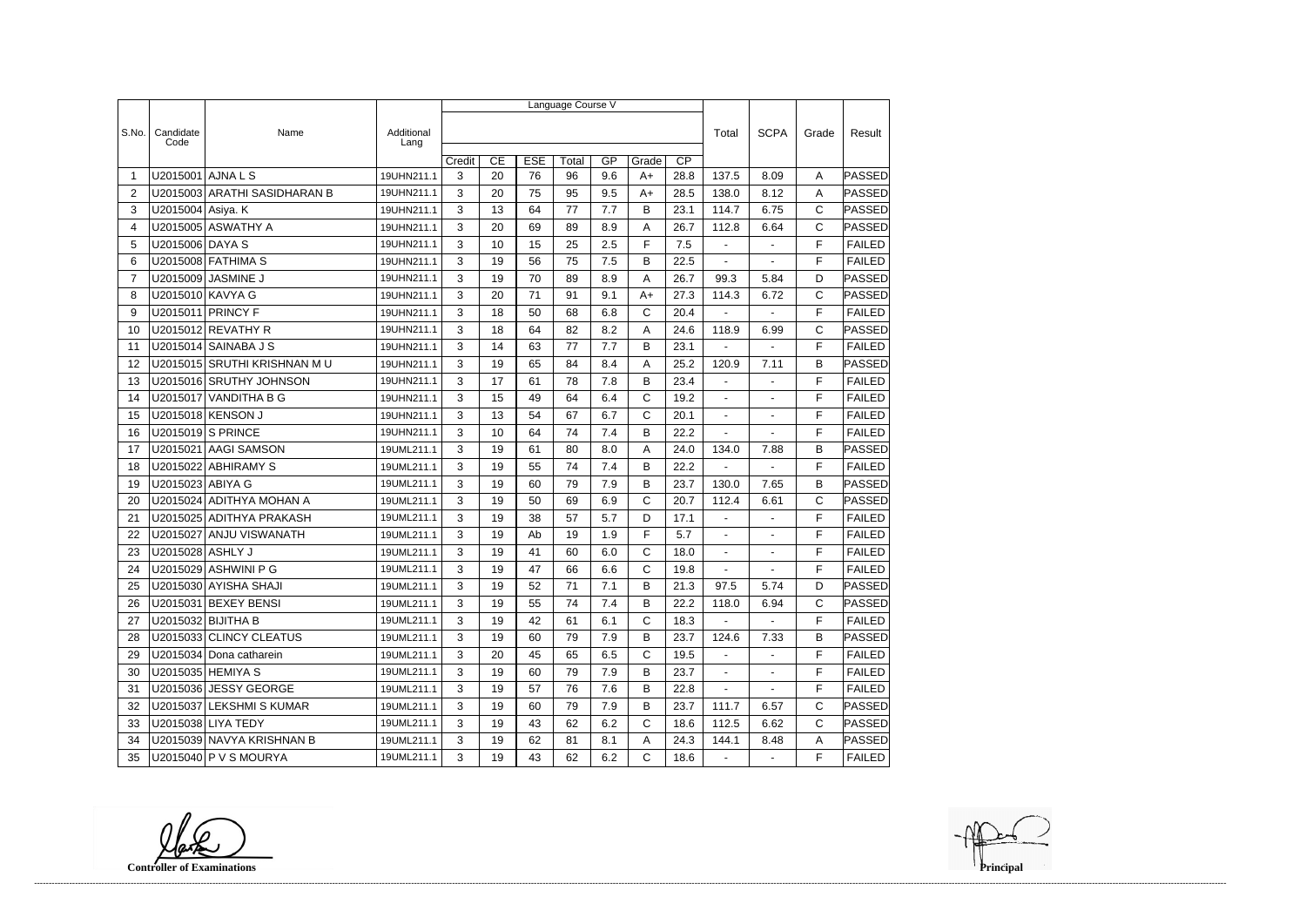|                |                   |                              |                    | Language Course V |    |            |       |     |              |                 |                          |                |              |               |
|----------------|-------------------|------------------------------|--------------------|-------------------|----|------------|-------|-----|--------------|-----------------|--------------------------|----------------|--------------|---------------|
|                |                   |                              |                    |                   |    |            |       |     |              |                 |                          |                |              |               |
| S.No.          | Candidate<br>Code | Name                         | Additional<br>Lang |                   |    |            |       |     |              |                 | Total                    | <b>SCPA</b>    | Grade        | Result        |
|                |                   |                              |                    | Credit            | CE | <b>ESE</b> | Total | GP  | Grade        | $\overline{CP}$ |                          |                |              |               |
| -1             | U2015001          | AJNA L S                     | 19UHN211.1         | 3                 | 20 | 76         | 96    | 9.6 | $A+$         | 28.8            | 137.5                    | 8.09           | A            | PASSED        |
| 2              |                   | U2015003 ARATHI SASIDHARAN B | 19UHN211.1         | 3                 | 20 | 75         | 95    | 9.5 | A+           | 28.5            | 138.0                    | 8.12           | Α            | PASSED        |
| 3              | U2015004 Asiya. K |                              | 19UHN211.1         | 3                 | 13 | 64         | 77    | 7.7 | B            | 23.1            | 114.7                    | 6.75           | C            | PASSED        |
| 4              |                   | U2015005 ASWATHY A           | 19UHN211.1         | 3                 | 20 | 69         | 89    | 8.9 | A            | 26.7            | 112.8                    | 6.64           | $\mathsf C$  | PASSED        |
| 5              | U2015006 DAYA S   |                              | 19UHN211.1         | 3                 | 10 | 15         | 25    | 2.5 | F            | 7.5             | $\blacksquare$           | $\blacksquare$ | F            | <b>FAILED</b> |
| 6              |                   | U2015008 FATHIMA S           | 19UHN211.1         | 3                 | 19 | 56         | 75    | 7.5 | B            | 22.5            |                          |                | F            | <b>FAILED</b> |
| $\overline{7}$ |                   | U2015009 JASMINE J           | 19UHN211.1         | 3                 | 19 | 70         | 89    | 8.9 | A            | 26.7            | 99.3                     | 5.84           | D            | PASSED        |
| 8              | U2015010 KAVYA G  |                              | 19UHN211.1         | 3                 | 20 | 71         | 91    | 9.1 | A+           | 27.3            | 114.3                    | 6.72           | C            | <b>PASSED</b> |
| 9              |                   | U2015011 PRINCY F            | 19UHN211.1         | 3                 | 18 | 50         | 68    | 6.8 | C            | 20.4            |                          |                | F            | <b>FAILED</b> |
| 10             |                   | U2015012 REVATHY R           | 19UHN211.1         | 3                 | 18 | 64         | 82    | 8.2 | Α            | 24.6            | 118.9                    | 6.99           | C            | PASSED        |
| 11             |                   | U2015014 SAINABA J S         | 19UHN211.1         | 3                 | 14 | 63         | 77    | 7.7 | В            | 23.1            |                          | ÷              | F            | <b>FAILED</b> |
| 12             |                   | U2015015 SRUTHI KRISHNAN MU  | 19UHN211.1         | 3                 | 19 | 65         | 84    | 8.4 | Α            | 25.2            | 120.9                    | 7.11           | B            | <b>PASSED</b> |
| 13             |                   | U2015016 SRUTHY JOHNSON      | 19UHN211.1         | 3                 | 17 | 61         | 78    | 7.8 | B            | 23.4            | $\overline{\phantom{a}}$ |                | F            | <b>FAILED</b> |
| 14             |                   | U2015017 VANDITHA B G        | 19UHN211.1         | 3                 | 15 | 49         | 64    | 6.4 | $\mathsf{C}$ | 19.2            | $\blacksquare$           |                | F            | <b>FAILED</b> |
| 15             |                   | U2015018 KENSON J            | 19UHN211.1         | 3                 | 13 | 54         | 67    | 6.7 | C            | 20.1            | $\blacksquare$           | $\blacksquare$ | F            | <b>FAILED</b> |
| 16             |                   | U2015019 S PRINCE            | 19UHN211.1         | 3                 | 10 | 64         | 74    | 7.4 | B            | 22.2            |                          |                | F            | <b>FAILED</b> |
| 17             |                   | U2015021 AAGI SAMSON         | 19UML211.1         | 3                 | 19 | 61         | 80    | 8.0 | A            | 24.0            | 134.0                    | 7.88           | B            | <b>PASSED</b> |
| 18             |                   | U2015022 ABHIRAMY S          | 19UML211.1         | 3                 | 19 | 55         | 74    | 7.4 | В            | 22.2            |                          |                | F            | <b>FAILED</b> |
| 19             | U2015023 ABIYA G  |                              | 19UML211.1         | 3                 | 19 | 60         | 79    | 7.9 | B            | 23.7            | 130.0                    | 7.65           | B            | PASSED        |
| 20             |                   | U2015024 ADITHYA MOHAN A     | 19UML211.1         | 3                 | 19 | 50         | 69    | 6.9 | C            | 20.7            | 112.4                    | 6.61           | $\mathsf{C}$ | PASSED        |
| 21             |                   | U2015025 ADITHYA PRAKASH     | 19UML211.1         | 3                 | 19 | 38         | 57    | 5.7 | D            | 17.1            | $\blacksquare$           | $\sim$         | F            | <b>FAILED</b> |
| 22             |                   | U2015027 ANJU VISWANATH      | 19UML211.1         | 3                 | 19 | Ab         | 19    | 1.9 | F            | 5.7             | $\blacksquare$           | $\overline{a}$ | F            | <b>FAILED</b> |
| 23             | U2015028 ASHLY J  |                              | 19UML211.1         | 3                 | 19 | 41         | 60    | 6.0 | C            | 18.0            | $\blacksquare$           |                | F            | <b>FAILED</b> |
| 24             |                   | U2015029 ASHWINI P G         | 19UML211.1         | 3                 | 19 | 47         | 66    | 6.6 | $\mathsf{C}$ | 19.8            |                          |                | F            | <b>FAILED</b> |
| 25             |                   | U2015030 AYISHA SHAJI        | 19UML211.1         | 3                 | 19 | 52         | $71$  | 7.1 | B            | 21.3            | 97.5                     | 5.74           | D            | PASSED        |
| 26             |                   | U2015031 BEXEY BENSI         | 19UML211.1         | 3                 | 19 | 55         | 74    | 7.4 | B            | 22.2            | 118.0                    | 6.94           | C            | <b>PASSED</b> |
| 27             |                   | U2015032 BIJITHA B           | 19UML211.1         | 3                 | 19 | 42         | 61    | 6.1 | $\mathsf{C}$ | 18.3            | $\sim$                   | $\mathbf{r}$   | F            | <b>FAILED</b> |
| 28             |                   | U2015033 CLINCY CLEATUS      | 19UML211.1         | 3                 | 19 | 60         | 79    | 7.9 | B            | 23.7            | 124.6                    | 7.33           | B            | <b>PASSED</b> |
| 29             |                   | U2015034 Dona catharein      | 19UML211.1         | 3                 | 20 | 45         | 65    | 6.5 | $\mathsf{C}$ | 19.5            | $\sim$                   | $\blacksquare$ | F            | <b>FAILED</b> |
| 30             |                   | U2015035 HEMIYA S            | 19UML211.1         | 3                 | 19 | 60         | 79    | 7.9 | B            | 23.7            | $\sim$                   | $\blacksquare$ | F            | <b>FAILED</b> |
| 31             |                   | U2015036 JESSY GEORGE        | 19UML211.1         | 3                 | 19 | 57         | 76    | 7.6 | B            | 22.8            | $\sim$                   | $\blacksquare$ | F            | <b>FAILED</b> |
| 32             |                   | U2015037 LEKSHMI S KUMAR     | 19UML211.1         | 3                 | 19 | 60         | 79    | 7.9 | В            | 23.7            | 111.7                    | 6.57           | C            | PASSED        |
| 33             |                   | U2015038 LIYA TEDY           | 19UML211.1         | 3                 | 19 | 43         | 62    | 6.2 | С            | 18.6            | 112.5                    | 6.62           | С            | PASSED        |
| 34             |                   | U2015039 NAVYA KRISHNAN B    | 19UML211.1         | 3                 | 19 | 62         | 81    | 8.1 | A            | 24.3            | 144.1                    | 8.48           | Α            | <b>PASSED</b> |
| 35             |                   | $ U2015040 $ P V S MOURYA    | 19UML211.1         | 3                 | 19 | 43         | 62    | 6.2 | $\mathsf{C}$ | 18.6            | $\blacksquare$           | $\sim$         | F.           | FAILED        |

**Controller of Examinations**